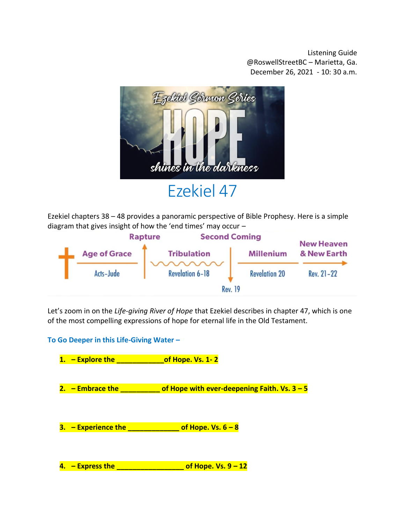Listening Guide @RoswellStreetBC – Marietta, Ga. December 26, 2021 - 10: 30 a.m.



Ezekiel chapters 38 – 48 provides a panoramic perspective of Bible Prophesy. Here is a simple diagram that gives insight of how the 'end times' may occur –



Let's zoom in on the *Life-giving River of Hope* that Ezekiel describes in chapter 47, which is one of the most compelling expressions of hope for eternal life in the Old Testament.

**To Go Deeper in this Life-Giving Water –**